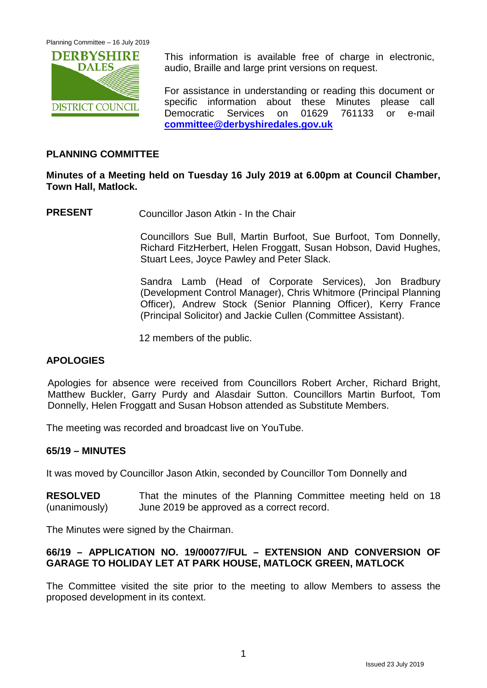

This information is available free of charge in electronic, audio, Braille and large print versions on request.

For assistance in understanding or reading this document or specific information about these Minutes please call Democratic Services on 01629 761133 or e-mail **[committee@derbyshiredales.gov.uk](mailto:committee@derbyshiredales.gov.uk)**

## **PLANNING COMMITTEE**

## **Minutes of a Meeting held on Tuesday 16 July 2019 at 6.00pm at Council Chamber, Town Hall, Matlock.**

**PRESENT** Councillor Jason Atkin - In the Chair

Councillors Sue Bull, Martin Burfoot, Sue Burfoot, Tom Donnelly, Richard FitzHerbert, Helen Froggatt, Susan Hobson, David Hughes, Stuart Lees, Joyce Pawley and Peter Slack.

Sandra Lamb (Head of Corporate Services), Jon Bradbury (Development Control Manager), Chris Whitmore (Principal Planning Officer), Andrew Stock (Senior Planning Officer), Kerry France (Principal Solicitor) and Jackie Cullen (Committee Assistant).

12 members of the public.

## **APOLOGIES**

Apologies for absence were received from Councillors Robert Archer, Richard Bright, Matthew Buckler, Garry Purdy and Alasdair Sutton. Councillors Martin Burfoot, Tom Donnelly, Helen Froggatt and Susan Hobson attended as Substitute Members.

The meeting was recorded and broadcast live on YouTube.

#### **65/19 – MINUTES**

It was moved by Councillor Jason Atkin, seconded by Councillor Tom Donnelly and

**RESOLVED** (unanimously) That the minutes of the Planning Committee meeting held on 18 June 2019 be approved as a correct record.

The Minutes were signed by the Chairman.

## **66/19 – APPLICATION NO. 19/00077/FUL – EXTENSION AND CONVERSION OF GARAGE TO HOLIDAY LET AT PARK HOUSE, MATLOCK GREEN, MATLOCK**

The Committee visited the site prior to the meeting to allow Members to assess the proposed development in its context.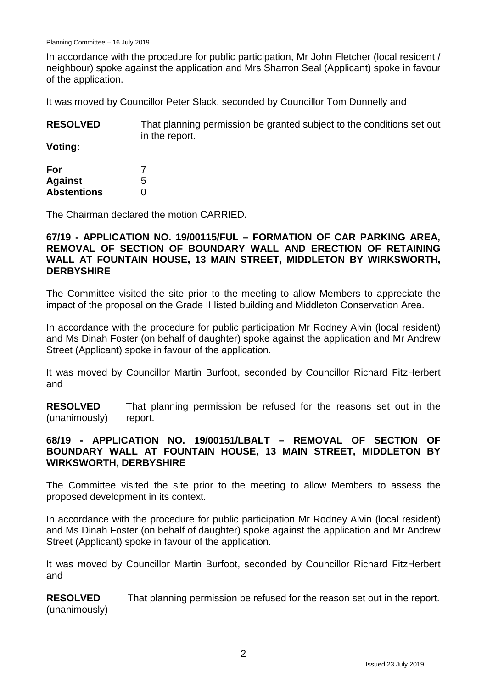In accordance with the procedure for public participation, Mr John Fletcher (local resident / neighbour) spoke against the application and Mrs Sharron Seal (Applicant) spoke in favour of the application.

It was moved by Councillor Peter Slack, seconded by Councillor Tom Donnelly and

| <b>RESOLVED</b> | That planning permission be granted subject to the conditions set out |
|-----------------|-----------------------------------------------------------------------|
|                 | in the report.                                                        |

**Voting:**

| For                |   |
|--------------------|---|
| <b>Against</b>     | 5 |
| <b>Abstentions</b> | O |

The Chairman declared the motion CARRIED.

#### **67/19 - APPLICATION NO. 19/00115/FUL – FORMATION OF CAR PARKING AREA, REMOVAL OF SECTION OF BOUNDARY WALL AND ERECTION OF RETAINING WALL AT FOUNTAIN HOUSE, 13 MAIN STREET, MIDDLETON BY WIRKSWORTH, DERBYSHIRE**

The Committee visited the site prior to the meeting to allow Members to appreciate the impact of the proposal on the Grade II listed building and Middleton Conservation Area.

In accordance with the procedure for public participation Mr Rodney Alvin (local resident) and Ms Dinah Foster (on behalf of daughter) spoke against the application and Mr Andrew Street (Applicant) spoke in favour of the application.

It was moved by Councillor Martin Burfoot, seconded by Councillor Richard FitzHerbert and

**RESOLVED** (unanimously) That planning permission be refused for the reasons set out in the report.

## **68/19 - APPLICATION NO. 19/00151/LBALT – REMOVAL OF SECTION OF BOUNDARY WALL AT FOUNTAIN HOUSE, 13 MAIN STREET, MIDDLETON BY WIRKSWORTH, DERBYSHIRE**

The Committee visited the site prior to the meeting to allow Members to assess the proposed development in its context.

In accordance with the procedure for public participation Mr Rodney Alvin (local resident) and Ms Dinah Foster (on behalf of daughter) spoke against the application and Mr Andrew Street (Applicant) spoke in favour of the application.

It was moved by Councillor Martin Burfoot, seconded by Councillor Richard FitzHerbert and

**RESOLVED** (unanimously) That planning permission be refused for the reason set out in the report.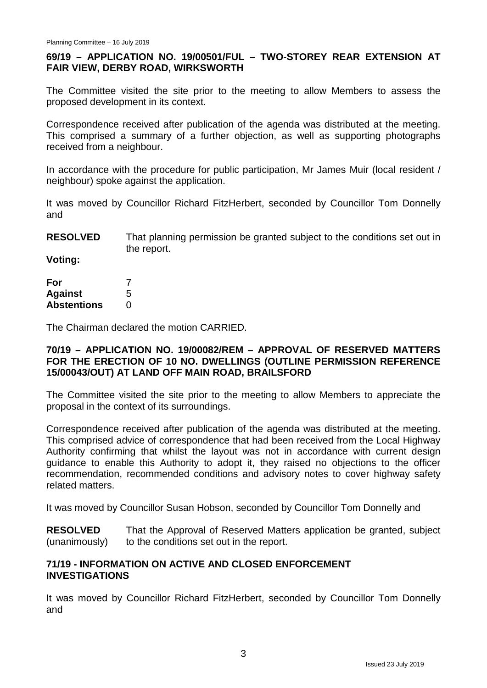## **69/19 – APPLICATION NO. 19/00501/FUL – TWO-STOREY REAR EXTENSION AT FAIR VIEW, DERBY ROAD, WIRKSWORTH**

The Committee visited the site prior to the meeting to allow Members to assess the proposed development in its context.

Correspondence received after publication of the agenda was distributed at the meeting. This comprised a summary of a further objection, as well as supporting photographs received from a neighbour.

In accordance with the procedure for public participation, Mr James Muir (local resident / neighbour) spoke against the application.

It was moved by Councillor Richard FitzHerbert, seconded by Councillor Tom Donnelly and

**RESOLVED** That planning permission be granted subject to the conditions set out in the report.

**Voting:**

| For                |   |
|--------------------|---|
| <b>Against</b>     | 5 |
| <b>Abstentions</b> | 0 |

The Chairman declared the motion CARRIED.

## **70/19 – APPLICATION NO. 19/00082/REM – APPROVAL OF RESERVED MATTERS FOR THE ERECTION OF 10 NO. DWELLINGS (OUTLINE PERMISSION REFERENCE 15/00043/OUT) AT LAND OFF MAIN ROAD, BRAILSFORD**

The Committee visited the site prior to the meeting to allow Members to appreciate the proposal in the context of its surroundings.

Correspondence received after publication of the agenda was distributed at the meeting. This comprised advice of correspondence that had been received from the Local Highway Authority confirming that whilst the layout was not in accordance with current design guidance to enable this Authority to adopt it, they raised no objections to the officer recommendation, recommended conditions and advisory notes to cover highway safety related matters.

It was moved by Councillor Susan Hobson, seconded by Councillor Tom Donnelly and

**RESOLVED** (unanimously) That the Approval of Reserved Matters application be granted, subject to the conditions set out in the report.

#### **71/19 - INFORMATION ON ACTIVE AND CLOSED ENFORCEMENT INVESTIGATIONS**

It was moved by Councillor Richard FitzHerbert, seconded by Councillor Tom Donnelly and